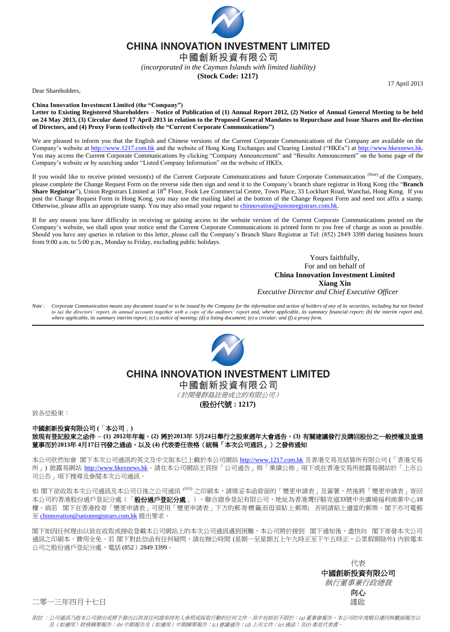

**CHINA INNOVATION INVESTMENT LIMITED** 

中國創新投資有限公司

*(incorporated in the Cayman Islands with limited liability)*

**(Stock Code: 1217)**

17 April 2013

Dear Shareholders,

**China Innovation Investment Limited (the "Company")**

**Letter to Existing Registered Shareholders** – **Notice of Publication of (1) Annual Report 2012, (2) Notice of Annual General Meeting to be held on 24 May 2013, (3) Circular dated 17 April 2013 in relation to the Proposed General Mandates to Repurchase and Issue Shares and Re-election of Directors, and (4) Proxy Form (collectively the "Current Corporate Communications")**

We are pleased to inform you that the English and Chinese versions of the Current Corporate Communications of the Company are available on the Company's website at [http://www.1217.com.hk](http://www.1217.com.hk/) and the website of Hong Kong Exchanges and Clearing Limited ("HKEx") at [http://www.hkexnews.hk.](http://www.hkexnews.hk/)  You may access the Current Corporate Communications by clicking "Company Announcement" and "Results Announcement" on the home page of the Company's website or by searching under "Listed Company Information" on the website of HKEx.

If you would like to receive printed version(s) of the Current Corporate Communications and future Corporate Communication *(Note)* of the Company, please complete the Change Request Form on the reverse side then sign and send it to the Company's branch share registrar in Hong Kong (the "**Branch Share Registrar**"), Union Registrars Limited at 18<sup>th</sup> Floor, Fook Lee Commercial Centre, Town Place, 33 Lockhart Road, Wanchai, Hong Kong. If you post the Change Request Form in Hong Kong, you may use the mailing label at the bottom of the Change Request Form and need not affix a stamp. Otherwise, please affix an appropriate stamp. You may also email your request to [chinnovation@unionregistrars.com.hk.](mailto:chinnovation@unionregistrars.com.hk)

If for any reason you have difficulty in receiving or gaining access to the website version of the Current Corporate Communications posted on the Company's website, we shall upon your notice send the Current Corporate Communications in printed form to you free of charge as soon as possible. Should you have any queries in relation to this letter, please call the Company's Branch Share Registrar at Tel: (852) 2849 3399 during business hours from 9:00 a.m. to 5:00 p.m., Monday to Friday, excluding public holidays.

> Yours faithfully, For and on behalf of **China Innovation Investment Limited Xiang Xin** *Executive Director and Chief Executive Officer*

*Note : Corporate Communication means any document issued or to be issued by the Company for the information and action of holders of any of its securities, including but not limited*  to (a) the directors' report, its annual accounts together with a copy of the auditors' report and, where applicable, its summary financial report; (b) the interim report and, *where applicable, its summary interim report; (c) a notice of meeting; (d) a listing document; (e) a circular; and (f) a proxy form.*



## **CHINA INNOVATION INVESTMENT LIMITED**

中國創新投資有限公司

(於開曼群島註冊成立的有限公司)

**(**股份代號 **: 1217)**

致各位股東:

中國創新投資有限公司 **(**「本公司」**)** 致現有登記股東之函件 **– (1) 2012**年年報,**(2)** 將於**2013**年 **5**月**24**日舉行之股東週年大會通告,**(3)** 有關建議發行及購回股份之一般授權及重選 董事而於**2013**年 **4**月**17**日刊發之通函,以及 **(4)** 代表委任表格(統稱「本次公司通訊」)之發佈通知

本公司欣然知會 閣下本次公司通訊的英文及中文版本已上載於本公司網站 [http://www.1217.com.hk](http://www.1217.com.hk/) 及香港交易及結算所有限公司 (「香港交易 所」) 披露易網站 [http://www.hkexnews.hk](http://www.hkexnews.hk/)。請在本公司網站主頁按「公司通告」與「業績公佈」項下或在香港交易所披露易網站於「上市公 司公告」項下搜尋及參閱本次公司通訊。

如 閣下欲收取本次公司通訊及本公司日後之公司通訊 <sup>(*附註 )* 之印刷本,請填妥本函背面的「變更申請表」及簽署,然後將「變更申請表」寄回</sup> 本公司的香港股份過戶登記分處(「**股份過戶登記分處**」),聯合證券登記有限公司,地址為香港灣仔駱克道33號中央廣場福利商業中心18 樓。倘若 閣下在香港投寄「變更申請表」可使用「變更申請表」下方的郵寄標籤而毋須貼上郵票; 否則請貼上適當的郵票。閣下亦可電郵 至 [chinnovation@unionregistrars.com.hk](mailto:chinnovation@unionregistrars.com.hk) 提出要求。

閣下如因任何理由以致在收取或接收登載本公司網站上的本次公司通訊遇到困難,本公司將於接到 閣下通知後,盡快向 閣下寄發本次公司 通訊之印刷本,費用全免。若 閣下對此信函有任何疑問,請在辦公時間 (星期一至星期五上午九時正至下午五時正,公眾假期除外) 内致電本 公司之股份過戶登記分處,電話 (852)2849 3399。

> 代表 中國創新投資有限公司 執行董事兼行政總裁 向心

二零一三年四月十七日 さんしょう しゅうしょう しゅうしょう しゅうしゅう さんこう 謹啟 しゅうしょく

附註 :公司通訊乃指本公司發出或將予發出以供其任何證券持有人參照或採取行動的任何文件,其中包括但不限於:(a) 董事會報告、本公司的年度賬目連同核數師報告以 及(如適用)財務摘要報告;(b) 中期報告及(如適用)中期摘要報告;(c) 會議通告;(d) 上市文件;(e) 通函;及(f) 委派代表書。